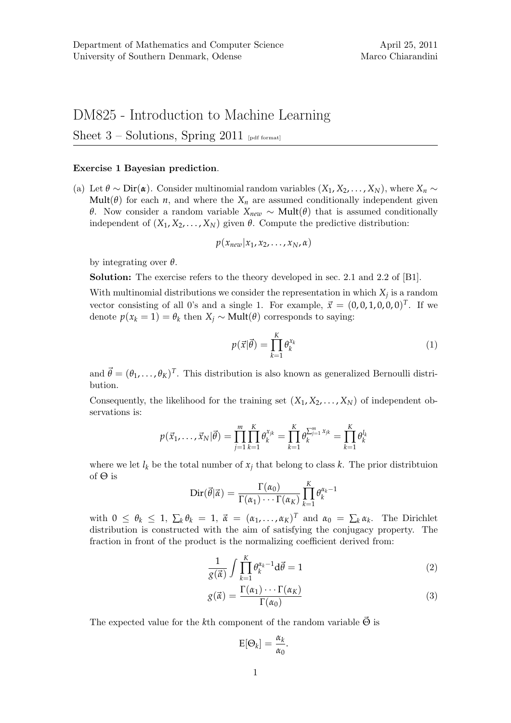## DM825 - Introduction to Machine Learning

Sheet  $3$  – Solutions, Spring 2011 [pdf format]

## Exercise 1 Bayesian prediction.

(a) Let  $\theta \sim \text{Dir}(\alpha)$ . Consider multinomial random variables  $(X_1, X_2, \ldots, X_N)$ , where  $X_n \sim$ Mult( $\theta$ ) for each *n*, and where the  $X_n$  are assumed conditionally independent given *θ*. Now consider a random variable *X*<sub>*new*</sub> ∼ **Mult**( $θ$ ) that is assumed conditionally independent of  $(X_1, X_2, \ldots, X_N)$  given  $\theta$ . Compute the predictive distribution:

$$
p(x_{new}|x_1,x_2,\ldots,x_N,\alpha)
$$

by integrating over *θ*.

Solution: The exercise refers to the theory developed in sec. 2.1 and 2.2 of [B1].

With multinomial distributions we consider the representation in which  $X_j$  is a random vector consisting of all 0's and a single 1. For example,  $\vec{x} = (0,0,1,0,0,0)^T$ . If we denote  $p(x_k = 1) = \theta_k$  then  $X_i \sim \text{Mult}(\theta)$  corresponds to saying:

$$
p(\vec{x}|\vec{\theta}) = \prod_{k=1}^{K} \theta_k^{x_k}
$$
 (1)

and  $\vec{\theta} = (\theta_1, \dots, \theta_K)^T$ . This distribution is also known as generalized Bernoulli distribution.

Consequently, the likelihood for the training set  $(X_1, X_2, \ldots, X_N)$  of independent observations is:

$$
p(\vec{x}_1, ..., \vec{x}_N | \vec{\theta}) = \prod_{j=1}^m \prod_{k=1}^K \theta_k^{x_{jk}} = \prod_{k=1}^K \theta_k^{\sum_{j=1}^m x_{jk}} = \prod_{k=1}^K \theta_k^{l_k}
$$

where we let  $l_k$  be the total number of  $x_j$  that belong to class  $k$ . The prior distribtuion of Θ is

$$
\text{Dir}(\vec{\theta}|\vec{\alpha}) = \frac{\Gamma(\alpha_0)}{\Gamma(\alpha_1)\cdots\Gamma(\alpha_K)}\prod_{k=1}^K \theta_k^{\alpha_k-1}
$$

with  $0 \leq \theta_k \leq 1$ ,  $\sum_k \theta_k = 1$ ,  $\vec{\alpha} = (\alpha_1, \dots, \alpha_K)^T$  and  $\alpha_0 = \sum_k \alpha_k$ . The Dirichlet distribution is constructed with the aim of satisfying the conjugacy property. The fraction in front of the product is the normalizing coefficient derived from:

$$
\frac{1}{g(\vec{\alpha})} \int \prod_{k=1}^{K} \theta_k^{\alpha_k - 1} d\vec{\theta} = 1
$$
\n(2)

$$
g(\vec{\alpha}) = \frac{\Gamma(\alpha_1) \cdots \Gamma(\alpha_K)}{\Gamma(\alpha_0)}
$$
\n(3)

The expected value for the *k*<sup>th</sup> component of the random variable  $\vec{\Theta}$  is

$$
E[\Theta_k] = \frac{\alpha_k}{\alpha_0}.
$$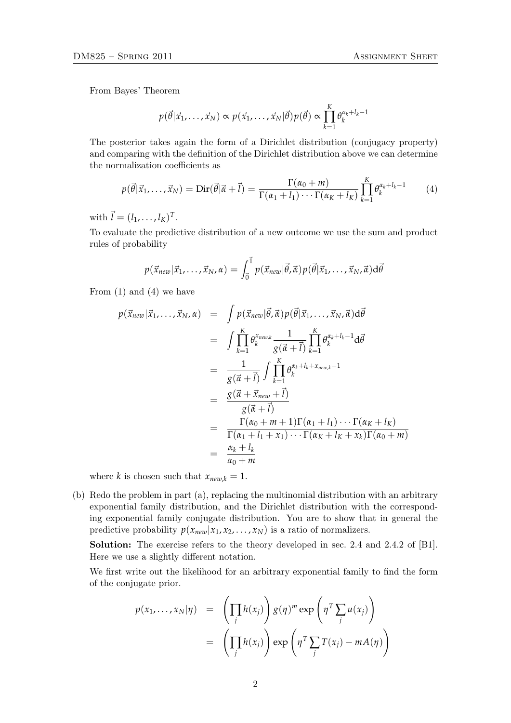*K*

From Bayes' Theorem

$$
p(\vec{\theta}|\vec{x}_1,\ldots,\vec{x}_N) \propto p(\vec{x}_1,\ldots,\vec{x}_N|\vec{\theta})p(\vec{\theta}) \propto \prod_{k=1}^K \theta_k^{\alpha_k+l_k-1}
$$

The posterior takes again the form of a Dirichlet distribution (conjugacy property) and comparing with the definition of the Dirichlet distribution above we can determine the normalization coefficients as

$$
p(\vec{\theta}|\vec{x}_1,\ldots,\vec{x}_N) = \text{Dir}(\vec{\theta}|\vec{\alpha}+\vec{l}) = \frac{\Gamma(\alpha_0+m)}{\Gamma(\alpha_1+l_1)\cdots\Gamma(\alpha_K+l_K)}\prod_{k=1}^K \theta_k^{\alpha_k+l_k-1} \tag{4}
$$

with  $\vec{l} = (l_1, ..., l_K)^T$ .

To evaluate the predictive distribution of a new outcome we use the sum and product rules of probability

$$
p(\vec{x}_{new}|\vec{x}_1,\ldots,\vec{x}_N,\alpha)=\int_{\vec{0}}^{\vec{1}}p(\vec{x}_{new}|\vec{\theta},\vec{\alpha})p(\vec{\theta}|\vec{x}_1,\ldots,\vec{x}_N,\vec{\alpha})d\vec{\theta}
$$

From  $(1)$  and  $(4)$  we have

$$
p(\vec{x}_{new}|\vec{x}_{1},...,\vec{x}_{N},\alpha) = \int p(\vec{x}_{new}|\vec{\theta},\vec{\alpha})p(\vec{\theta}|\vec{x}_{1},...,\vec{x}_{N},\vec{\alpha})d\vec{\theta}
$$
  
\n
$$
= \int \prod_{k=1}^{K} \theta_{k}^{x_{new,k}} \frac{1}{g(\vec{\alpha}+\vec{l})} \prod_{k=1}^{K} \theta_{k}^{\alpha_{k}+l_{k}-1}d\vec{\theta}
$$
  
\n
$$
= \frac{1}{g(\vec{\alpha}+\vec{l})} \int \prod_{k=1}^{K} \theta_{k}^{\alpha_{k}+l_{k}+x_{new,k}-1}
$$
  
\n
$$
= \frac{g(\vec{\alpha}+\vec{x}_{new}+\vec{l})}{g(\vec{\alpha}+\vec{l})}
$$
  
\n
$$
= \frac{\Gamma(\alpha_{0}+m+1)\Gamma(\alpha_{1}+l_{1})\cdots\Gamma(\alpha_{K}+l_{K})}{\Gamma(\alpha_{1}+l_{1}+x_{1})\cdots\Gamma(\alpha_{K}+l_{K}+x_{k})\Gamma(\alpha_{0}+m)}
$$
  
\n
$$
= \frac{\alpha_{k}+l_{k}}{\alpha_{0}+m}
$$

where *k* is chosen such that  $x_{new,k} = 1$ .

(b) Redo the problem in part (a), replacing the multinomial distribution with an arbitrary exponential family distribution, and the Dirichlet distribution with the corresponding exponential family conjugate distribution. You are to show that in general the predictive probability  $p(x_{new}|x_1, x_2, \ldots, x_N)$  is a ratio of normalizers.

Solution: The exercise refers to the theory developed in sec. 2.4 and 2.4.2 of [B1]. Here we use a slightly different notation.

We first write out the likelihood for an arbitrary exponential family to find the form of the conjugate prior.

$$
p(x_1,...,x_N|\eta) = \left(\prod_j h(x_j)\right) g(\eta)^m \exp\left(\eta^T \sum_j u(x_j)\right)
$$
  
= 
$$
\left(\prod_j h(x_j)\right) \exp\left(\eta^T \sum_j T(x_j) - mA(\eta)\right)
$$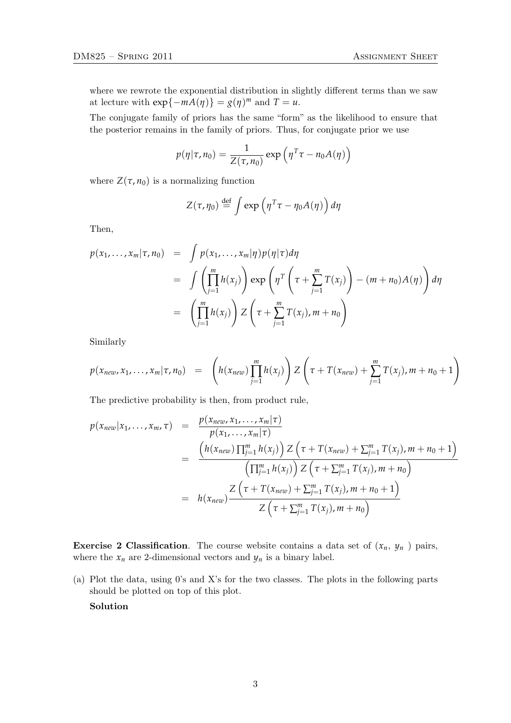where we rewrote the exponential distribution in slightly different terms than we saw at lecture with  $exp{-mA(\eta)} = g(\eta)^m$  and  $T = u$ .

The conjugate family of priors has the same "form" as the likelihood to ensure that the posterior remains in the family of priors. Thus, for conjugate prior we use

$$
p(\eta | \tau, n_0) = \frac{1}{Z(\tau, n_0)} \exp \left( \eta^T \tau - n_0 A(\eta) \right)
$$

where  $Z(\tau, n_0)$  is a normalizing function

$$
Z(\tau,\eta_0) \stackrel{\text{def}}{=} \int \exp\left(\eta^T \tau - \eta_0 A(\eta)\right) d\eta
$$

Then,

$$
p(x_1,...,x_m|\tau,n_0) = \int p(x_1,...,x_m|\eta)p(\eta|\tau)d\eta
$$
  
= 
$$
\int \left(\prod_{j=1}^m h(x_j)\right) \exp\left(\eta^T\left(\tau + \sum_{j=1}^m T(x_j)\right) - (m+n_0)A(\eta)\right)d\eta
$$
  
= 
$$
\left(\prod_{j=1}^m h(x_j)\right) Z\left(\tau + \sum_{j=1}^m T(x_j), m+n_0\right)
$$

Similarly

$$
p(x_{new}, x_1, ..., x_m | \tau, n_0) = \left( h(x_{new}) \prod_{j=1}^m h(x_j) \right) Z \left( \tau + T(x_{new}) + \sum_{j=1}^m T(x_j), m + n_0 + 1 \right)
$$

The predictive probability is then, from product rule,

$$
p(x_{new}|x_1,...,x_m,\tau) = \frac{p(x_{new},x_1,...,x_m|\tau)}{p(x_1,...,x_m|\tau)}
$$
  
= 
$$
\frac{\left(h(x_{new})\prod_{j=1}^m h(x_j)\right)Z\left(\tau + T(x_{new}) + \sum_{j=1}^m T(x_j), m + n_0 + 1\right)}{\left(\prod_{j=1}^m h(x_j)\right)Z\left(\tau + \sum_{j=1}^m T(x_j), m + n_0\right)}
$$
  
= 
$$
h(x_{new})\frac{Z\left(\tau + T(x_{new}) + \sum_{j=1}^m T(x_j), m + n_0 + 1\right)}{Z\left(\tau + \sum_{j=1}^m T(x_j), m + n_0\right)}
$$

**Exercise 2 Classification.** The course website contains a data set of  $(x_n, y_n)$  pairs, where the  $x_n$  are 2-dimensional vectors and  $y_n$  is a binary label.

(a) Plot the data, using 0's and X's for the two classes. The plots in the following parts should be plotted on top of this plot.

Solution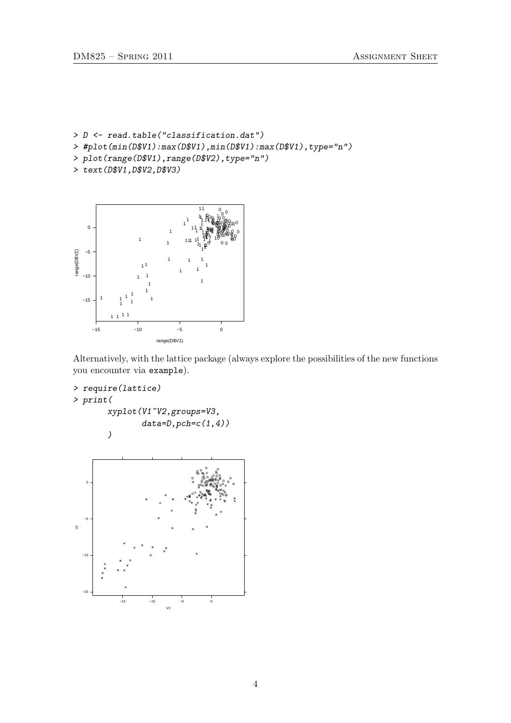- > D <- read.table("classification.dat")
- > #plot(min(D\$V1):max(D\$V1),min(D\$V1):max(D\$V1),type="n")
- > plot(range(D\$V1),range(D\$V2),type="n")
- > text(D\$V1,D\$V2,D\$V3)



Alternatively, with the lattice package (always explore the possibilities of the new functions you encounter via example).

```
> require(lattice)
> print(
       xyplot(V1~V2,groups=V3,
              data=D, pch=c(1,4))
```
)

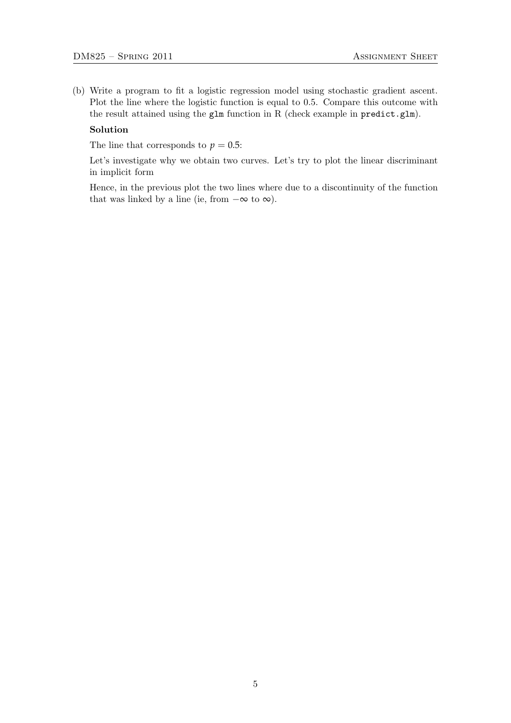(b) Write a program to fit a logistic regression model using stochastic gradient ascent. Plot the line where the logistic function is equal to 0.5. Compare this outcome with the result attained using the glm function in R (check example in predict.glm).

## Solution

The line that corresponds to  $p = 0.5$ :

Let's investigate why we obtain two curves. Let's try to plot the linear discriminant in implicit form

Hence, in the previous plot the two lines where due to a discontinuity of the function that was linked by a line (ie, from  $-\infty$  to  $\infty$ ).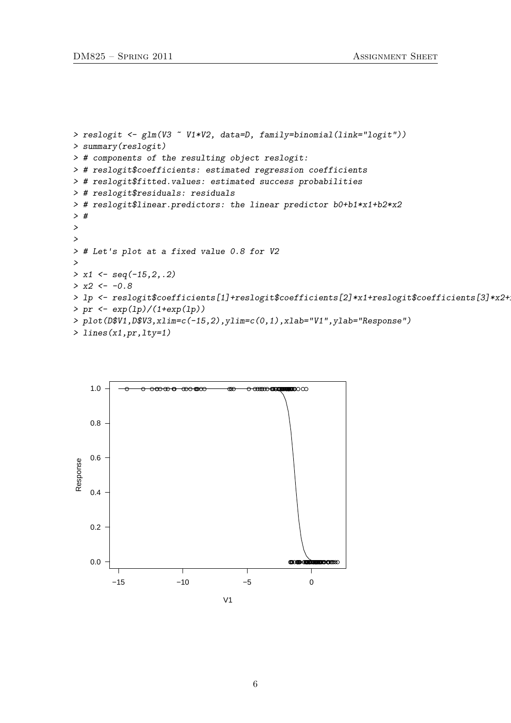```
> reslogit <- glm(V3 ~ V1*V2, data=D, family=binomial(link="logit"))
> summary(reslogit)
> # components of the resulting object reslogit:
> # reslogit$coefficients: estimated regression coefficients
> # reslogit$fitted.values: estimated success probabilities
> # reslogit$residuals: residuals
> # reslogit$linear.predictors: the linear predictor b0+b1*x1+b2*x2
> #
>
>
> # Let's plot at a fixed value 0.8 for V2
>
> x1 \leftarrow seq(-15, 2, .2)> x2 < -0.8> lp <- reslogit$coefficients[1]+reslogit$coefficients[2]*x1+reslogit$coefficients[3]*x2+
> pr <- exp(1p)/(1+exp(1p))> plot(D$V1,D$V3,xlim=c(-15,2),ylim=c(0,1),xlab="V1",ylab="Response")
> lines(x1,pr,lty=1)
```
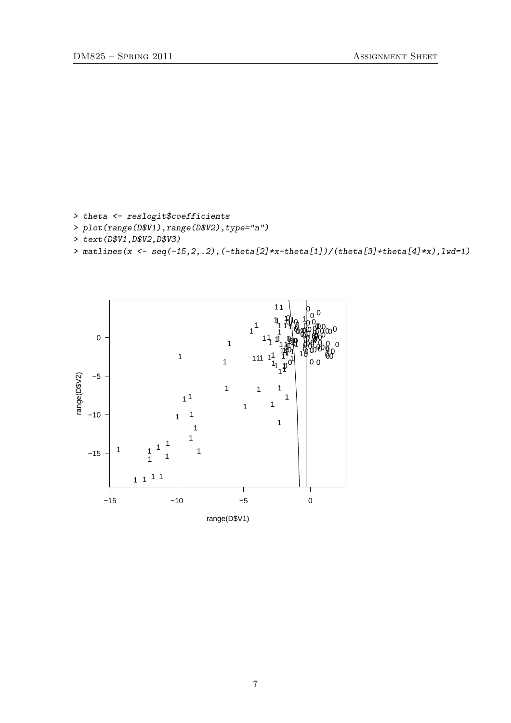> theta <- reslogit\$coefficients

- > plot(range(D\$V1),range(D\$V2),type="n")
- > text(D\$V1,D\$V2,D\$V3)
- > matlines( $x \leftarrow \text{seq}(-15, 2, .2)$ ,  $(\text{-theta}[2]*x\text{-theta}[1])/( \text{theta}[3] + \text{theta}[4]*x)$ ,  $1wd=1)$

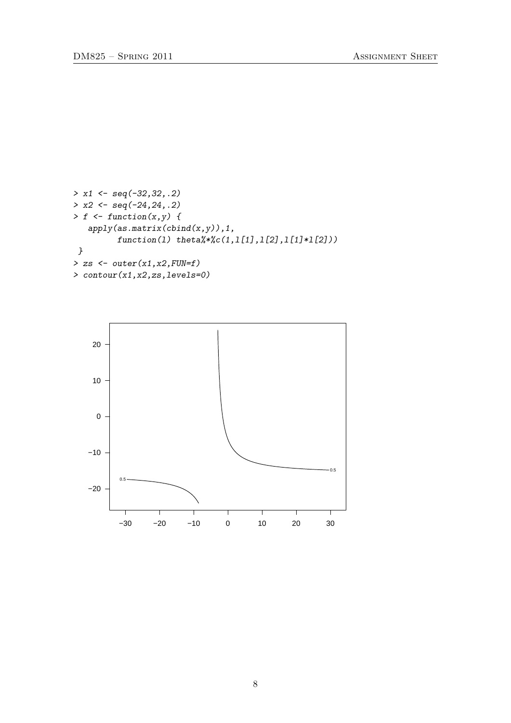```
> x1 \leftarrow seq(-32, 32, .2)> x2 < - seq(-24, 24, .2)
> f \leftarrow function(x, y) {
   apply(as.matrix(cbind(x,y)),1,function(1) theta.*'.c(1,1[1],1[2],1[1]*1[2]))}
> zs <- outer(x1, x2, FUN=f)> contour(x1,x2,zs,levels=0)
```
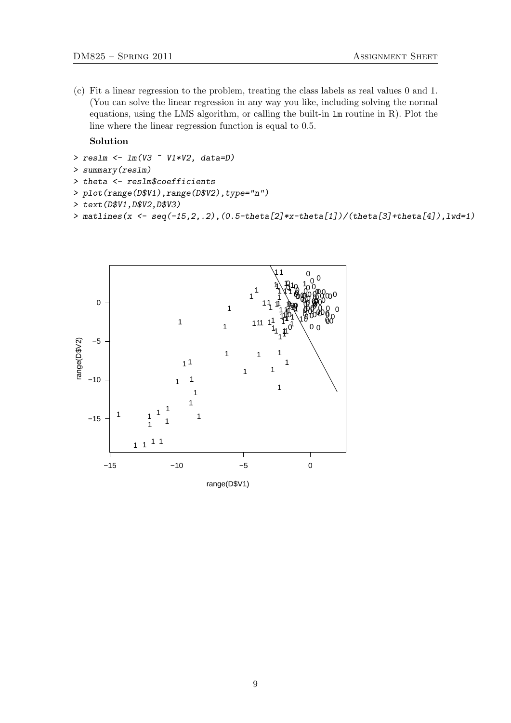(c) Fit a linear regression to the problem, treating the class labels as real values 0 and 1. (You can solve the linear regression in any way you like, including solving the normal equations, using the LMS algorithm, or calling the built-in lm routine in R). Plot the line where the linear regression function is equal to 0.5.

Solution

```
> reslm \leq 1m(V3 \sim V1*V2, data=D)
```

```
> summary(reslm)
```
- > theta <- reslm\$coefficients
- > plot(range(D\$V1),range(D\$V2),type="n")
- > text(D\$V1,D\$V2,D\$V3)
- > matlines(x <- seq(-15,2,.2),(0.5-theta[2]\*x-theta[1])/(theta[3]+theta[4]),lwd=1)

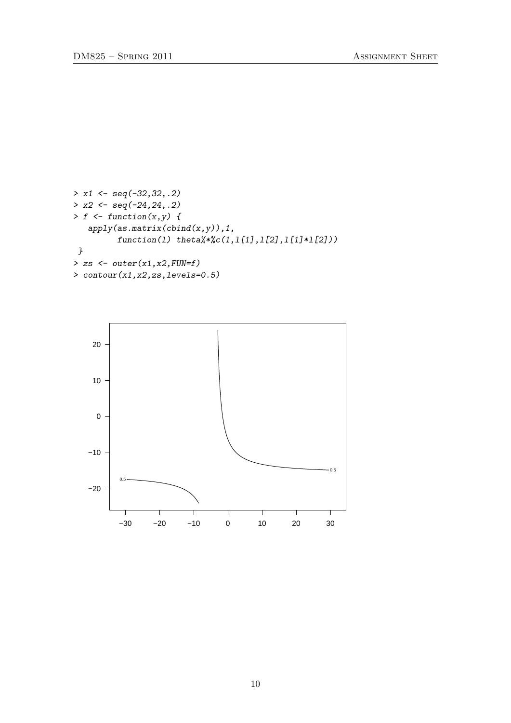```
> x1 \leftarrow seq(-32, 32, .2)> x2 < - seq(-24, 24, .2)
> f \leftarrow function(x, y) {
   apply(as.matrix(cbind(x,y)),1,function(1) theta.*'.c(1,1[1],1[2],1[1]*1[2]))}
> zs \leftarrow outer(x1, x2, FUN = f)> contour(x1,x2,zs,levels=0.5)
```